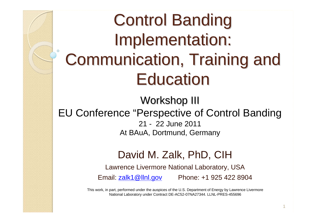# **Control Banding** Implementation: Communication, Training and **Education**

Workshop III EU Conference "Perspective of Control Banding 21 - 22 June 2011At BAuA, Dortmund, Germany

## David M. Zalk, PhD, CIH

Lawrence Livermore National Laboratory, USA

Email: [zalk1@llnl.gov](mailto:zalk1@llnl.gov) Phone: +1 925 422 8904

This work, in part, performed under the auspices of the U.S. Department of Energy by Lawrence Livermore National Laboratory under Contract DE-AC52-07NA27344. LLNL-PRES-455696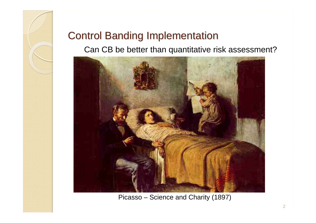

## **Control Banding Implementation**

Can CB be better than quantitative risk assessment?



Picasso – Science and Charity (1897)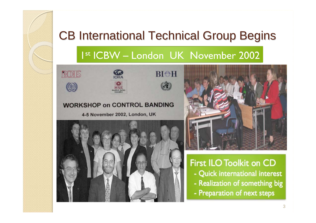# CB International Technical Group Begins

## 1st ICBW - London UK November 2002

BIOH





### **WORKSHOP on CONTROL BANDING**

4-5 November 2002, London, UK





**First ILO Toolkit on CD** - Quick international interest - Realization of something big - Preparation of next steps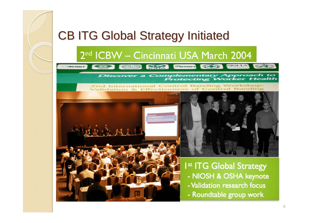## CB ITG Global Strategy Initiated CB ITG Global Strategy Initiated

## 2<sup>nd</sup> ICBW – Cincinnati USA March 2004

**COLORED SECTION CONTINUES** 



 $\epsilon$ 

2nd International Control Banding Workshop: Validation & Effectiveness of Cont



I<sup>st</sup> ITG Global Strategy

- NIOSH & OSHA keynote
- Validation research focus
- Roundtable group work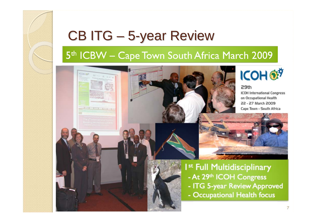# CB ITG – 5-year Review

1

## 5<sup>th</sup> ICBW - Cape Town South Africa March 2009







#### 29th

**ICOH International Congress** on Occupational Health 22 - 27 March 2009 Cape Town - South Africa



I<sup>st</sup> Full Multidisciplinary - At 29th ICOH Congress

- ITG 5-year Review Approved
- Occupational Health focus

23 Sep 20085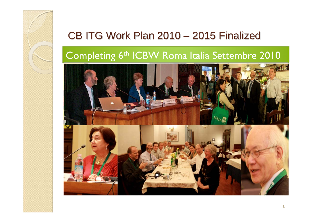#### CB ITG Work Plan 2010  $\mathcal{L}_{\mathcal{A}}$  , the state of the state  $\mathcal{L}_{\mathcal{A}}$ – 2015 Finalized

## Completing 6<sup>th</sup> ICBW Roma Italia Settembre 2010

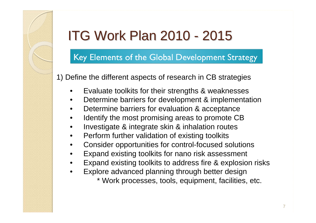## Key Elements of the Global Development Strategy

1) Define the different aspects of research in CB strategies

- •Evaluate toolkits for their strengths & weaknesses
- •Determine barriers for development & implementation
- $\bullet$ Determine barriers for evaluation & acceptance
- •Identify the most promising areas to promote CB
- •Investigate & integrate skin & inhalation routes
- •Perform further validation of existing toolkits
- $\bullet$ Consider opportunities for control-focused solutions
- •Expand existing toolkits for nano risk assessment
- •Expand existing toolkits to address fire & explosion risks
- • Explore advanced planning through better design
	- \* Work processes, tools, equipment, facilities, etc.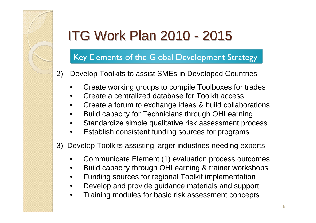## Key Elements of the Global Development Strategy

- 2) Develop Toolkits to assist SMEs in Developed Countries
	- •Create working groups to compile Toolboxes for trades
	- •Create a centralized database for Toolkit access
	- •Create a forum to exchange ideas & build collaborations
	- •Build capacity for Technicians through OHLearning
	- •Standardize simple qualitative risk assessment process
	- •Establish consistent funding sources for programs
- 3) Develop Toolkits assisting larger industries needing experts
	- •Communicate Element (1) evaluation process outcomes
	- •Build capacity through OHLearning & trainer workshops
	- •Funding sources for regional Toolkit implementation
	- •Develop and provide guidance materials and support
	- •Training modules for basic risk assessment concepts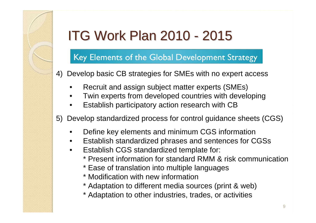## Key Elements of the Global Development Strategy

- 4) Develop basic CB strategies for SMEs with no expert access
	- •Recruit and assign subject matter experts (SMEs)
	- •Twin experts from developed countries with developing
	- •Establish participatory action research with CB
- 5) Develop standardized process for control guidance sheets (CGS)
	- $\bullet$ Define key elements and minimum CGS information
	- •Establish standardized phrases and sentences for CGSs
	- $\bullet$  Establish CGS standardized template for:
		- \* Present information for standard RMM & risk communication
		- \* Ease of translation into multiple languages
		- \* Modification with new information
		- \* Adaptation to different media sources (print & web)
		- \* Adaptation to other industries, trades, or activities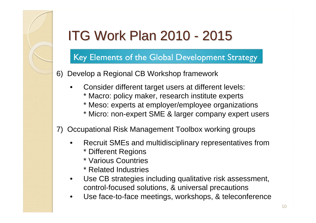## Key Elements of the Global Development Strategy

- 6) Develop a Regional CB Workshop framework
	- • Consider different target users at different levels:
		- \* Macro: policy maker, research institute experts
		- \* Meso: experts at employer/employee organizations
		- \* Micro: non-expert SME & larger company expert users
- 7) Occupational Risk Management Toolbox working groups
	- • Recruit SMEs and multidisciplinary representatives from
		- \* Different Regions
		- \* Various Countries
		- \* Related Industries
	- • Use CB strategies including qualitative risk assessment, control-focused solutions, & universal precautions
	- •Use face-to-face meetings, workshops, & teleconference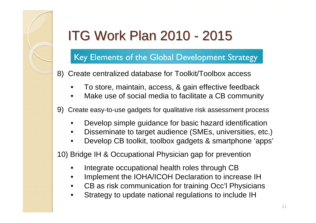## Key Elements of the Global Development Strategy

- 8) Create centralized database for Toolkit/Toolbox access
	- •To store, maintain, access, & gain effective feedback
	- •Make use of social media to facilitate a CB community
- 9) Create easy-to-use gadgets for qualitative risk assessment process
	- •Develop simple guidance for basic hazard identification
	- •Disseminate to target audience (SMEs, universities, etc.)
	- •Develop CB toolkit, toolbox gadgets & smartphone 'apps'

10) Bridge IH & Occupational Physician gap for prevention

- •Integrate occupational health roles through CB
- •Implement the IOHA/ICOH Declaration to increase IH
- •CB as risk communication for training Occ'l Physicians
- •Strategy to update national regulations to include IH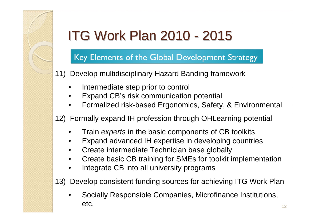## Key Elements of the Global Development Strategy

11) Develop multidisciplinary Hazard Banding framework

- •Intermediate step prior to control
- •Expand CB's risk communication potential
- •Formalized risk-based Ergonomics, Safety, & Environmental

12) Formally expand IH profession through OHLearning potential

- •Train *experts* in the basic components of CB toolkits
- •Expand advanced IH expertise in developing countries
- •Create intermediate Technician base globally
- •Create basic CB training for SMEs for toolkit implementation
- •Integrate CB into all university programs

13) Develop consistent funding sources for achieving ITG Work Plan

• Socially Responsible Companies, Microfinance Institutions, etc. <sup>1</sup> $23$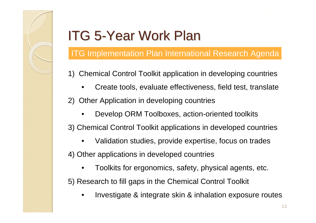# ITG 5-Year Work Plan

ITG Implementation Plan International Research Agenda

- 1) Chemical Control Toolkit application in developing countries
	- •Create tools, evaluate effectiveness, field test, translate
- 2) Other Application in developing countries
	- •Develop ORM Toolboxes, action-oriented toolkits

3) Chemical Control Toolkit applications in developed countries

•Validation studies, provide expertise, focus on trades

4) Other applications in developed countries

•Toolkits for ergonomics, safety, physical agents, etc.

5) Research to fill gaps in the Chemical Control Toolkit

•Investigate & integrate skin & inhalation exposure routes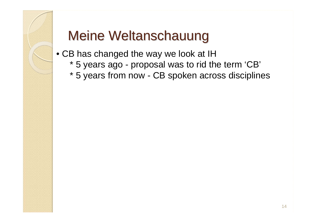

- CB has changed the way we look at IH
	- \* 5 years ago proposal was to rid the term 'CB'
	- \* 5 years from now CB spoken across disciplines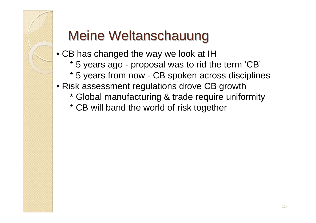

- CB has changed the way we look at IH
	- \* 5 years ago proposal was to rid the term 'CB'
	- \* 5 years from now CB spoken across disciplines
- Risk assessment regulations drove CB growth
	- \* Global manufacturing & trade require uniformity
	- \* CB will band the world of risk together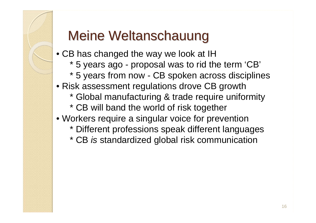- CB has changed the way we look at IH
	- \* 5 years ago proposal was to rid the term 'CB'
	- \* 5 years from now CB spoken across disciplines
- Risk assessment regulations drove CB growth
	- \* Global manufacturing & trade require uniformity
	- \* CB will band the world of risk together
- Workers require a singular voice for prevention
	- \* Different professions speak different languages
	- \* CB *is* standardized global risk communication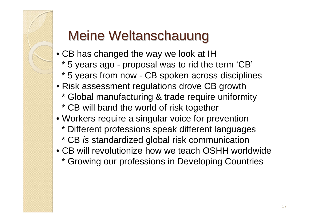- CB has changed the way we look at IH
	- \* 5 years ago proposal was to rid the term 'CB'
	- \* 5 years from now CB spoken across disciplines
- Risk assessment regulations drove CB growth
	- \* Global manufacturing & trade require uniformity
	- \* CB will band the world of risk together
- Workers require a singular voice for prevention
	- \* Different professions speak different languages
	- \* CB *is* standardized global risk communication
- CB will revolutionize how we teach OSHH worldwide
	- \* Growing our professions in Developing Countries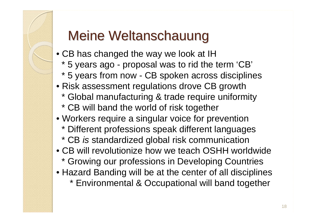- CB has changed the way we look at IH
	- \* 5 years ago proposal was to rid the term 'CB'
	- \* 5 years from now CB spoken across disciplines
- Risk assessment regulations drove CB growth
	- \* Global manufacturing & trade require uniformity
	- \* CB will band the world of risk together
- Workers require a singular voice for prevention
	- \* Different professions speak different languages
	- \* CB *is* standardized global risk communication
- CB will revolutionize how we teach OSHH worldwide
	- \* Growing our professions in Developing Countries
- Hazard Banding will be at the center of all disciplines
	- \* Environmental & Occupational will band together